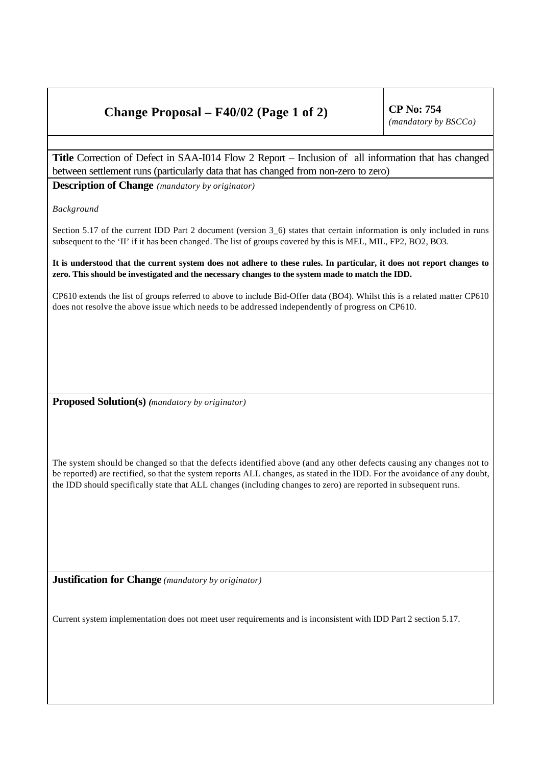## **Change Proposal – F40/02 (Page 1 of 2) CP No: 754**

**Title** Correction of Defect in SAA-I014 Flow 2 Report – Inclusion of all information that has changed between settlement runs (particularly data that has changed from non-zero to zero)

**Description of Change** *(mandatory by originator)*

*Background*

Section 5.17 of the current IDD Part 2 document (version 3\_6) states that certain information is only included in runs subsequent to the 'II' if it has been changed. The list of groups covered by this is MEL, MIL, FP2, BO2, BO3.

**It is understood that the current system does not adhere to these rules. In particular, it does not report changes to zero. This should be investigated and the necessary changes to the system made to match the IDD.**

CP610 extends the list of groups referred to above to include Bid-Offer data (BO4). Whilst this is a related matter CP610 does not resolve the above issue which needs to be addressed independently of progress on CP610.

**Proposed Solution(s)** *(mandatory by originator)*

The system should be changed so that the defects identified above (and any other defects causing any changes not to be reported) are rectified, so that the system reports ALL changes, as stated in the IDD. For the avoidance of any doubt, the IDD should specifically state that ALL changes (including changes to zero) are reported in subsequent runs.

**Justification for Change** *(mandatory by originator)*

Current system implementation does not meet user requirements and is inconsistent with IDD Part 2 section 5.17.